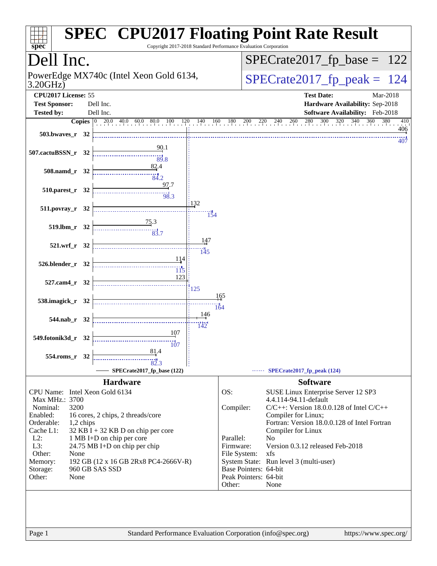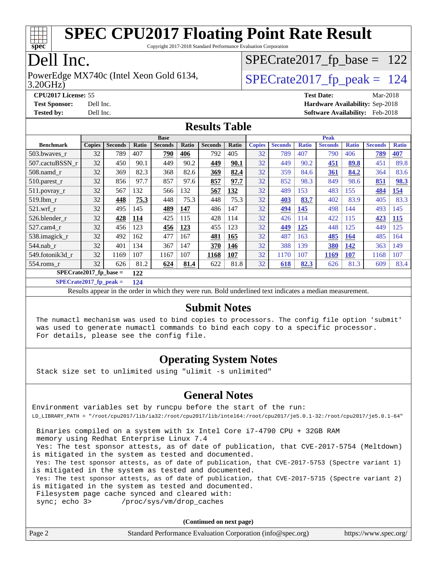

Copyright 2017-2018 Standard Performance Evaluation Corporation

### Dell Inc.

3.20GHz) PowerEdge MX740c (Intel Xeon Gold 6134,  $\vert$ [SPECrate2017\\_fp\\_peak =](http://www.spec.org/auto/cpu2017/Docs/result-fields.html#SPECrate2017fppeak) 124

 $SPECTate2017_fp\_base = 122$ 

**[CPU2017 License:](http://www.spec.org/auto/cpu2017/Docs/result-fields.html#CPU2017License)** 55 **[Test Date:](http://www.spec.org/auto/cpu2017/Docs/result-fields.html#TestDate)** Mar-2018 **[Test Sponsor:](http://www.spec.org/auto/cpu2017/Docs/result-fields.html#TestSponsor)** Dell Inc. **[Hardware Availability:](http://www.spec.org/auto/cpu2017/Docs/result-fields.html#HardwareAvailability)** Sep-2018 **[Tested by:](http://www.spec.org/auto/cpu2017/Docs/result-fields.html#Testedby)** Dell Inc. **[Software Availability:](http://www.spec.org/auto/cpu2017/Docs/result-fields.html#SoftwareAvailability)** Feb-2018

#### **[Results Table](http://www.spec.org/auto/cpu2017/Docs/result-fields.html#ResultsTable)**

|                           | <b>Base</b>   |                |            |                |       |                | <b>Peak</b> |               |                |              |                |              |                |              |
|---------------------------|---------------|----------------|------------|----------------|-------|----------------|-------------|---------------|----------------|--------------|----------------|--------------|----------------|--------------|
| <b>Benchmark</b>          | <b>Copies</b> | <b>Seconds</b> | Ratio      | <b>Seconds</b> | Ratio | <b>Seconds</b> | Ratio       | <b>Copies</b> | <b>Seconds</b> | <b>Ratio</b> | <b>Seconds</b> | <b>Ratio</b> | <b>Seconds</b> | <b>Ratio</b> |
| 503.bwaves_r              | 32            | 789            | 407        | 790            | 406   | 792            | 405         | 32            | 789            | 407          | 790            | 406          | 789            | 407          |
| 507.cactuBSSN r           | 32            | 450            | 90.1       | 449            | 90.2  | 449            | 90.1        | 32            | 449            | 90.2         | 451            | 89.8         | 451            | 89.8         |
| $508$ .namd $r$           | 32            | 369            | 82.3       | 368            | 82.6  | 369            | 82.4        | 32            | 359            | 84.6         | 361            | 84.2         | 364            | 83.6         |
| $510.parest_r$            | 32            | 856            | 97.7       | 857            | 97.6  | 857            | 97.7        | 32            | 852            | 98.3         | 849            | 98.6         | 851            | 98.3         |
| 511.povray_r              | 32            | 567            | 132        | 566            | 132   | 567            | 132         | 32            | 489            | 153          | 483            | 155          | 484            | <u>154</u>   |
| 519.lbm r                 | 32            | 448            | 75.3       | 448            | 75.3  | 448            | 75.3        | 32            | 403            | 83.7         | 402            | 83.9         | 405            | 83.3         |
| $521$ .wrf r              | 32            | 495            | 145        | 489            | 147   | 486            | 147         | 32            | 494            | 145          | 498            | 144          | 493            | 145          |
| 526.blender r             | 32            | 428            | <u>114</u> | 425            | 115   | 428            | 114         | 32            | 426            | 114          | 422            | 115          | 423            | 115          |
| 527.cam4_r                | 32            | 456            | 123        | 456            | 123   | 455            | 123         | 32            | 449            | 125          | 448            | 125          | 449            | 125          |
| 538.imagick_r             | 32            | 492            | 162        | 477            | 167   | 481            | 165         | 32            | 487            | 163          | 485            | <b>164</b>   | 485            | 164          |
| $544$ .nab_r              | 32            | 401            | 134        | 367            | 147   | 370            | 146         | 32            | 388            | 139          | 380            | 142          | 363            | 149          |
| 549.fotonik3d r           | 32            | 1169           | 107        | 1167           | 107   | 1168           | 107         | 32            | 1170           | 107          | 1169           | <b>107</b>   | 1168           | 107          |
| $554$ .roms r             | 32            | 626            | 81.2       | 624            | 81.4  | 622            | 81.8        | 32            | 618            | 82.3         | 626            | 81.3         | 609            | 83.4         |
| $SPECrate2017_fp\_base =$ |               |                | 122        |                |       |                |             |               |                |              |                |              |                |              |

**[SPECrate2017\\_fp\\_peak =](http://www.spec.org/auto/cpu2017/Docs/result-fields.html#SPECrate2017fppeak) 124**

Results appear in the [order in which they were run.](http://www.spec.org/auto/cpu2017/Docs/result-fields.html#RunOrder) Bold underlined text [indicates a median measurement.](http://www.spec.org/auto/cpu2017/Docs/result-fields.html#Median)

#### **[Submit Notes](http://www.spec.org/auto/cpu2017/Docs/result-fields.html#SubmitNotes)**

 The numactl mechanism was used to bind copies to processors. The config file option 'submit' was used to generate numactl commands to bind each copy to a specific processor. For details, please see the config file.

#### **[Operating System Notes](http://www.spec.org/auto/cpu2017/Docs/result-fields.html#OperatingSystemNotes)**

Stack size set to unlimited using "ulimit -s unlimited"

#### **[General Notes](http://www.spec.org/auto/cpu2017/Docs/result-fields.html#GeneralNotes)**

Environment variables set by runcpu before the start of the run: LD\_LIBRARY\_PATH = "/root/cpu2017/lib/ia32:/root/cpu2017/lib/intel64:/root/cpu2017/je5.0.1-32:/root/cpu2017/je5.0.1-64"

 Binaries compiled on a system with 1x Intel Core i7-4790 CPU + 32GB RAM memory using Redhat Enterprise Linux 7.4 Yes: The test sponsor attests, as of date of publication, that CVE-2017-5754 (Meltdown) is mitigated in the system as tested and documented. Yes: The test sponsor attests, as of date of publication, that CVE-2017-5753 (Spectre variant 1) is mitigated in the system as tested and documented. Yes: The test sponsor attests, as of date of publication, that CVE-2017-5715 (Spectre variant 2) is mitigated in the system as tested and documented. Filesystem page cache synced and cleared with: sync; echo 3> /proc/sys/vm/drop\_caches

**(Continued on next page)**

| Page 2 | Standard Performance Evaluation Corporation (info@spec.org) | https://www.spec.org/ |
|--------|-------------------------------------------------------------|-----------------------|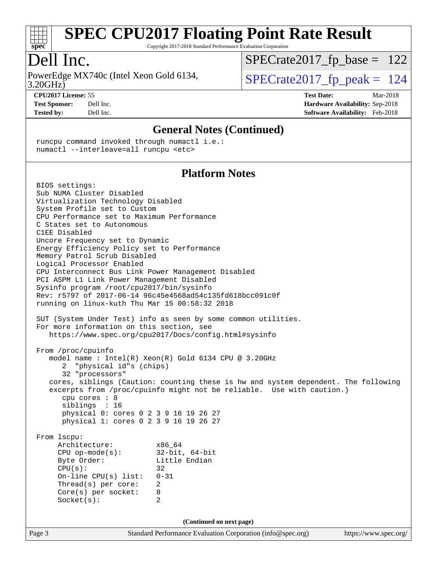

Copyright 2017-2018 Standard Performance Evaluation Corporation

### Dell Inc.

3.20GHz) PowerEdge MX740c (Intel Xeon Gold 6134,  $\vert$ [SPECrate2017\\_fp\\_peak =](http://www.spec.org/auto/cpu2017/Docs/result-fields.html#SPECrate2017fppeak) 124

 $SPECTate2017_fp\_base = 122$ 

**[CPU2017 License:](http://www.spec.org/auto/cpu2017/Docs/result-fields.html#CPU2017License)** 55 **[Test Date:](http://www.spec.org/auto/cpu2017/Docs/result-fields.html#TestDate)** Mar-2018 **[Test Sponsor:](http://www.spec.org/auto/cpu2017/Docs/result-fields.html#TestSponsor)** Dell Inc. **[Hardware Availability:](http://www.spec.org/auto/cpu2017/Docs/result-fields.html#HardwareAvailability)** Sep-2018 **[Tested by:](http://www.spec.org/auto/cpu2017/Docs/result-fields.html#Testedby)** Dell Inc. **[Software Availability:](http://www.spec.org/auto/cpu2017/Docs/result-fields.html#SoftwareAvailability)** Feb-2018

#### **[General Notes \(Continued\)](http://www.spec.org/auto/cpu2017/Docs/result-fields.html#GeneralNotes)**

 runcpu command invoked through numactl i.e.: numactl --interleave=all runcpu <etc>

#### **[Platform Notes](http://www.spec.org/auto/cpu2017/Docs/result-fields.html#PlatformNotes)**

Page 3 Standard Performance Evaluation Corporation [\(info@spec.org\)](mailto:info@spec.org) <https://www.spec.org/> BIOS settings: Sub NUMA Cluster Disabled Virtualization Technology Disabled System Profile set to Custom CPU Performance set to Maximum Performance C States set to Autonomous C1EE Disabled Uncore Frequency set to Dynamic Energy Efficiency Policy set to Performance Memory Patrol Scrub Disabled Logical Processor Enabled CPU Interconnect Bus Link Power Management Disabled PCI ASPM L1 Link Power Management Disabled Sysinfo program /root/cpu2017/bin/sysinfo Rev: r5797 of 2017-06-14 96c45e4568ad54c135fd618bcc091c0f running on linux-kuth Thu Mar 15 00:58:32 2018 SUT (System Under Test) info as seen by some common utilities. For more information on this section, see <https://www.spec.org/cpu2017/Docs/config.html#sysinfo> From /proc/cpuinfo model name : Intel(R) Xeon(R) Gold 6134 CPU @ 3.20GHz 2 "physical id"s (chips) 32 "processors" cores, siblings (Caution: counting these is hw and system dependent. The following excerpts from /proc/cpuinfo might not be reliable. Use with caution.) cpu cores : 8 siblings : 16 physical 0: cores 0 2 3 9 16 19 26 27 physical 1: cores 0 2 3 9 16 19 26 27 From lscpu: Architecture: x86\_64<br>
CPU op-mode(s): 32-bit, 64-bit CPU op-mode $(s):$ Byte Order: Little Endian  $CPU(s):$  32 On-line CPU(s) list: 0-31 Thread(s) per core: 2 Core(s) per socket: 8 Socket(s): 2 **(Continued on next page)**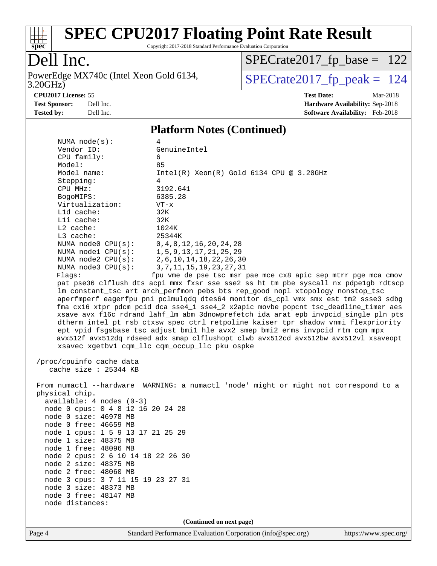

Copyright 2017-2018 Standard Performance Evaluation Corporation

### Dell Inc.

3.20GHz) PowerEdge MX740c (Intel Xeon Gold 6134,  $SPECrate2017_fp\_peak = 124$ 

[SPECrate2017\\_fp\\_base =](http://www.spec.org/auto/cpu2017/Docs/result-fields.html#SPECrate2017fpbase) 122

**[Tested by:](http://www.spec.org/auto/cpu2017/Docs/result-fields.html#Testedby)** Dell Inc. **[Software Availability:](http://www.spec.org/auto/cpu2017/Docs/result-fields.html#SoftwareAvailability)** Feb-2018

**[CPU2017 License:](http://www.spec.org/auto/cpu2017/Docs/result-fields.html#CPU2017License)** 55 **[Test Date:](http://www.spec.org/auto/cpu2017/Docs/result-fields.html#TestDate)** Mar-2018 **[Test Sponsor:](http://www.spec.org/auto/cpu2017/Docs/result-fields.html#TestSponsor)** Dell Inc. **[Hardware Availability:](http://www.spec.org/auto/cpu2017/Docs/result-fields.html#HardwareAvailability)** Sep-2018

#### **[Platform Notes \(Continued\)](http://www.spec.org/auto/cpu2017/Docs/result-fields.html#PlatformNotes)**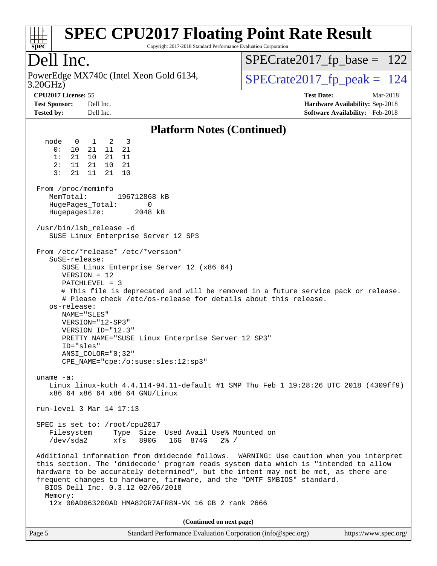

Copyright 2017-2018 Standard Performance Evaluation Corporation

### Dell Inc.

3.20GHz) PowerEdge MX740c (Intel Xeon Gold 6134,  $SPECrate2017_fp\_peak = 124$ 

[SPECrate2017\\_fp\\_base =](http://www.spec.org/auto/cpu2017/Docs/result-fields.html#SPECrate2017fpbase) 122

**[CPU2017 License:](http://www.spec.org/auto/cpu2017/Docs/result-fields.html#CPU2017License)** 55 **[Test Date:](http://www.spec.org/auto/cpu2017/Docs/result-fields.html#TestDate)** Mar-2018 **[Test Sponsor:](http://www.spec.org/auto/cpu2017/Docs/result-fields.html#TestSponsor)** Dell Inc. **[Hardware Availability:](http://www.spec.org/auto/cpu2017/Docs/result-fields.html#HardwareAvailability)** Sep-2018 **[Tested by:](http://www.spec.org/auto/cpu2017/Docs/result-fields.html#Testedby)** Dell Inc. **[Software Availability:](http://www.spec.org/auto/cpu2017/Docs/result-fields.html#SoftwareAvailability)** Feb-2018

#### **[Platform Notes \(Continued\)](http://www.spec.org/auto/cpu2017/Docs/result-fields.html#PlatformNotes)**

| node<br>$\overline{\mathbf{0}}$<br>1 2<br>3<br>0:<br>10 21 11<br>21<br>11<br>1: 21 10 21<br>2: 11 21 10<br>21<br>3:<br>21 11 21<br>10                                                                                                                                                                                                                                                                                                                                                                    |  |  |  |  |  |  |
|----------------------------------------------------------------------------------------------------------------------------------------------------------------------------------------------------------------------------------------------------------------------------------------------------------------------------------------------------------------------------------------------------------------------------------------------------------------------------------------------------------|--|--|--|--|--|--|
| From /proc/meminfo<br>MemTotal:<br>196712868 kB<br>HugePages_Total:<br>0<br>Hugepagesize: 2048 kB                                                                                                                                                                                                                                                                                                                                                                                                        |  |  |  |  |  |  |
| /usr/bin/lsb_release -d<br>SUSE Linux Enterprise Server 12 SP3                                                                                                                                                                                                                                                                                                                                                                                                                                           |  |  |  |  |  |  |
| From /etc/*release* /etc/*version*<br>SuSE-release:<br>SUSE Linux Enterprise Server 12 (x86_64)<br>$VERSION = 12$<br>$PATCHLEVEL = 3$<br># This file is deprecated and will be removed in a future service pack or release.<br># Please check /etc/os-release for details about this release.<br>os-release:<br>NAME="SLES"<br>VERSION="12-SP3"<br>VERSION_ID="12.3"<br>PRETTY_NAME="SUSE Linux Enterprise Server 12 SP3"<br>ID="sles"<br>$ANSI$ _COLOR=" $0:32$ "<br>CPE_NAME="cpe:/o:suse:sles:12:sp3" |  |  |  |  |  |  |
| uname $-a$ :<br>Linux linux-kuth 4.4.114-94.11-default #1 SMP Thu Feb 1 19:28:26 UTC 2018 (4309ff9)<br>x86_64 x86_64 x86_64 GNU/Linux                                                                                                                                                                                                                                                                                                                                                                    |  |  |  |  |  |  |
| run-level 3 Mar 14 17:13                                                                                                                                                                                                                                                                                                                                                                                                                                                                                 |  |  |  |  |  |  |
| SPEC is set to: /root/cpu2017<br>Filesystem<br>Type Size Used Avail Use% Mounted on<br>$/\text{dev/sda2}$<br>xfs<br>890G 16G 874G<br>$2\frac{8}{1}$ /                                                                                                                                                                                                                                                                                                                                                    |  |  |  |  |  |  |
| Additional information from dmidecode follows. WARNING: Use caution when you interpret<br>this section. The 'dmidecode' program reads system data which is "intended to allow<br>hardware to be accurately determined", but the intent may not be met, as there are<br>frequent changes to hardware, firmware, and the "DMTF SMBIOS" standard.<br>BIOS Dell Inc. 0.3.12 02/06/2018<br>Memory:                                                                                                            |  |  |  |  |  |  |
| 12x 00AD063200AD HMA82GR7AFR8N-VK 16 GB 2 rank 2666                                                                                                                                                                                                                                                                                                                                                                                                                                                      |  |  |  |  |  |  |
| (Continued on next page)                                                                                                                                                                                                                                                                                                                                                                                                                                                                                 |  |  |  |  |  |  |

| Page 5 | Standard Performance Evaluation Corporation (info@spec.org) |  | https://www.spec.org/ |
|--------|-------------------------------------------------------------|--|-----------------------|
|--------|-------------------------------------------------------------|--|-----------------------|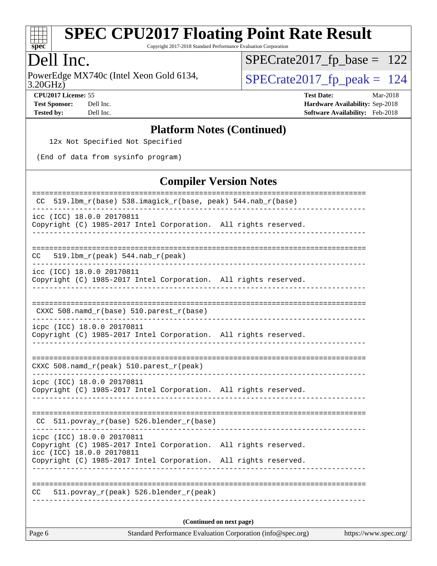

Copyright 2017-2018 Standard Performance Evaluation Corporation

#### Dell Inc.

3.20GHz) PowerEdge MX740c (Intel Xeon Gold 6134,  $\vert$ [SPECrate2017\\_fp\\_peak =](http://www.spec.org/auto/cpu2017/Docs/result-fields.html#SPECrate2017fppeak) 124

[SPECrate2017\\_fp\\_base =](http://www.spec.org/auto/cpu2017/Docs/result-fields.html#SPECrate2017fpbase) 122

**[CPU2017 License:](http://www.spec.org/auto/cpu2017/Docs/result-fields.html#CPU2017License)** 55 **[Test Date:](http://www.spec.org/auto/cpu2017/Docs/result-fields.html#TestDate)** Mar-2018 **[Test Sponsor:](http://www.spec.org/auto/cpu2017/Docs/result-fields.html#TestSponsor)** Dell Inc. **[Hardware Availability:](http://www.spec.org/auto/cpu2017/Docs/result-fields.html#HardwareAvailability)** Sep-2018 **[Tested by:](http://www.spec.org/auto/cpu2017/Docs/result-fields.html#Testedby)** Dell Inc. **[Software Availability:](http://www.spec.org/auto/cpu2017/Docs/result-fields.html#SoftwareAvailability)** Feb-2018

#### **[Platform Notes \(Continued\)](http://www.spec.org/auto/cpu2017/Docs/result-fields.html#PlatformNotes)**

12x Not Specified Not Specified

(End of data from sysinfo program)

#### **[Compiler Version Notes](http://www.spec.org/auto/cpu2017/Docs/result-fields.html#CompilerVersionNotes)**

| 519.1bm_r(base) 538.imagick_r(base, peak) 544.nab_r(base)<br>CC.                                                           |  |  |  |  |
|----------------------------------------------------------------------------------------------------------------------------|--|--|--|--|
| icc (ICC) 18.0.0 20170811<br>Copyright (C) 1985-2017 Intel Corporation. All rights reserved.                               |  |  |  |  |
| $519.1bm_r(peak) 544.nab_r(peak)$<br>CC                                                                                    |  |  |  |  |
| icc (ICC) 18.0.0 20170811<br>Copyright (C) 1985-2017 Intel Corporation. All rights reserved.                               |  |  |  |  |
| CXXC 508.namd_r(base) 510.parest_r(base)                                                                                   |  |  |  |  |
| icpc (ICC) 18.0.0 20170811<br>Copyright (C) 1985-2017 Intel Corporation. All rights reserved.                              |  |  |  |  |
| CXXC 508.namd_r(peak) 510.parest_r(peak)                                                                                   |  |  |  |  |
| icpc (ICC) 18.0.0 20170811<br>Copyright (C) 1985-2017 Intel Corporation. All rights reserved.                              |  |  |  |  |
| 511.povray_r(base) 526.blender_r(base)<br>CC.                                                                              |  |  |  |  |
| icpc (ICC) 18.0.0 20170811<br>Copyright (C) 1985-2017 Intel Corporation. All rights reserved.<br>icc (ICC) 18.0.0 20170811 |  |  |  |  |
| Copyright (C) 1985-2017 Intel Corporation. All rights reserved.                                                            |  |  |  |  |
| 511.povray_r(peak) 526.blender_r(peak)<br>CC.                                                                              |  |  |  |  |
| (Continued on next page)                                                                                                   |  |  |  |  |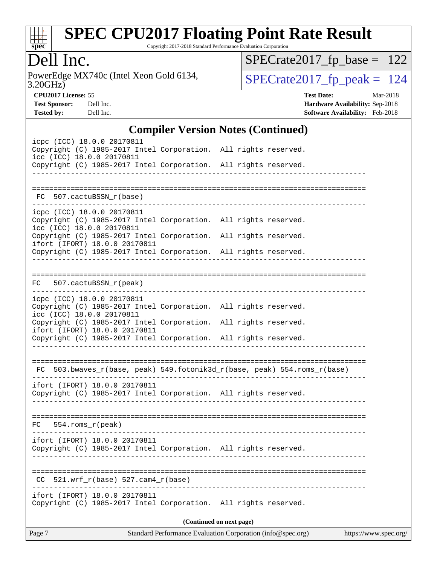

Copyright 2017-2018 Standard Performance Evaluation Corporation

### Dell Inc.

3.20GHz) PowerEdge MX740c (Intel Xeon Gold 6134,  $SPECrate2017_fp\_peak = 124$ 

[SPECrate2017\\_fp\\_base =](http://www.spec.org/auto/cpu2017/Docs/result-fields.html#SPECrate2017fpbase) 122

**[CPU2017 License:](http://www.spec.org/auto/cpu2017/Docs/result-fields.html#CPU2017License)** 55 **[Test Date:](http://www.spec.org/auto/cpu2017/Docs/result-fields.html#TestDate)** Mar-2018 **[Test Sponsor:](http://www.spec.org/auto/cpu2017/Docs/result-fields.html#TestSponsor)** Dell Inc. **[Hardware Availability:](http://www.spec.org/auto/cpu2017/Docs/result-fields.html#HardwareAvailability)** Sep-2018 **[Tested by:](http://www.spec.org/auto/cpu2017/Docs/result-fields.html#Testedby)** Dell Inc. **[Software Availability:](http://www.spec.org/auto/cpu2017/Docs/result-fields.html#SoftwareAvailability)** Feb-2018

#### **[Compiler Version Notes \(Continued\)](http://www.spec.org/auto/cpu2017/Docs/result-fields.html#CompilerVersionNotes)**

|                                                                                                                                                                     |                                  | $\mathbf{C}$ ompher version rotes ( $\mathbf{C}$ ommuea)    |                       |
|---------------------------------------------------------------------------------------------------------------------------------------------------------------------|----------------------------------|-------------------------------------------------------------|-----------------------|
| icpc (ICC) 18.0.0 20170811<br>Copyright (C) 1985-2017 Intel Corporation. All rights reserved.<br>icc (ICC) 18.0.0 20170811                                          |                                  |                                                             |                       |
| Copyright (C) 1985-2017 Intel Corporation. All rights reserved.                                                                                                     | __________________________       |                                                             |                       |
| FC 507.cactuBSSN_r(base)                                                                                                                                            |                                  |                                                             |                       |
| icpc (ICC) 18.0.0 20170811<br>Copyright (C) 1985-2017 Intel Corporation. All rights reserved.<br>icc (ICC) 18.0.0 20170811                                          |                                  |                                                             |                       |
| Copyright (C) 1985-2017 Intel Corporation. All rights reserved.<br>ifort (IFORT) 18.0.0 20170811<br>Copyright (C) 1985-2017 Intel Corporation. All rights reserved. |                                  |                                                             |                       |
|                                                                                                                                                                     |                                  |                                                             |                       |
| FC 507.cactuBSSN r(peak)                                                                                                                                            |                                  |                                                             |                       |
| icpc (ICC) 18.0.0 20170811<br>Copyright (C) 1985-2017 Intel Corporation. All rights reserved.<br>icc (ICC) 18.0.0 20170811                                          |                                  |                                                             |                       |
| Copyright (C) 1985-2017 Intel Corporation. All rights reserved.<br>ifort (IFORT) 18.0.0 20170811<br>Copyright (C) 1985-2017 Intel Corporation. All rights reserved. |                                  |                                                             |                       |
|                                                                                                                                                                     | -------------------------------- |                                                             |                       |
| FC 503.bwaves_r(base, peak) 549.fotonik3d_r(base, peak) 554.roms_r(base)                                                                                            |                                  |                                                             |                       |
| ifort (IFORT) 18.0.0 20170811<br>Copyright (C) 1985-2017 Intel Corporation. All rights reserved.                                                                    |                                  |                                                             |                       |
| $FC 554.rows_r (peak)$                                                                                                                                              |                                  |                                                             |                       |
| ifort (IFORT) 18.0.0 20170811<br>Copyright (C) 1985-2017 Intel Corporation. All rights reserved.                                                                    |                                  |                                                             |                       |
| 521.wrf_r(base) 527.cam4_r(base)<br>CC.                                                                                                                             |                                  |                                                             |                       |
| ifort (IFORT) 18.0.0 20170811<br>Copyright (C) 1985-2017 Intel Corporation. All rights reserved.                                                                    |                                  |                                                             |                       |
|                                                                                                                                                                     |                                  | (Continued on next page)                                    |                       |
| Page 7                                                                                                                                                              |                                  | Standard Performance Evaluation Corporation (info@spec.org) | https://www.spec.org/ |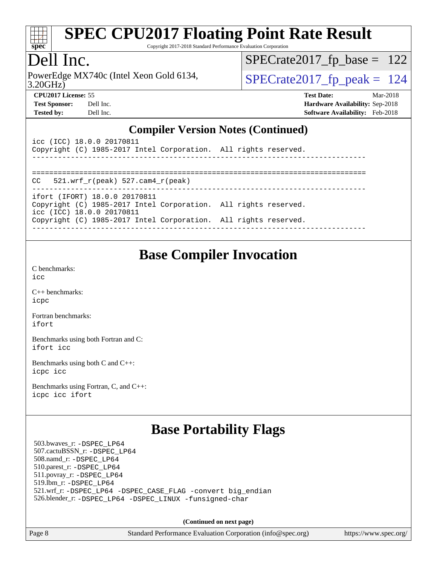

Copyright 2017-2018 Standard Performance Evaluation Corporation

### Dell Inc.

3.20GHz) PowerEdge MX740c (Intel Xeon Gold 6134,  $\vert$ [SPECrate2017\\_fp\\_peak =](http://www.spec.org/auto/cpu2017/Docs/result-fields.html#SPECrate2017fppeak) 124

[SPECrate2017\\_fp\\_base =](http://www.spec.org/auto/cpu2017/Docs/result-fields.html#SPECrate2017fpbase) 122

| <b>Test Sponsor:</b> | Dell Inc |
|----------------------|----------|
| Tested by:           | Dell Inc |

**[CPU2017 License:](http://www.spec.org/auto/cpu2017/Docs/result-fields.html#CPU2017License)** 55 **[Test Date:](http://www.spec.org/auto/cpu2017/Docs/result-fields.html#TestDate)** Mar-2018 **[Test Sponsor:](http://www.spec.org/auto/cpu2017/Docs/result-fields.html#TestSponsor)** Deliver Sponsor: **[Hardware Availability:](http://www.spec.org/auto/cpu2017/Docs/result-fields.html#HardwareAvailability)** Sep-2018 **[Tested by:](http://www.spec.org/auto/cpu2017/Docs/result-fields.html#Testedby)** Deliver and **[Software Availability:](http://www.spec.org/auto/cpu2017/Docs/result-fields.html#SoftwareAvailability)** Feb-2018

#### **[Compiler Version Notes \(Continued\)](http://www.spec.org/auto/cpu2017/Docs/result-fields.html#CompilerVersionNotes)**

| icc (ICC) 18.0.0 20170811<br>Copyright (C) 1985-2017 Intel Corporation. All rights reserved. |  |
|----------------------------------------------------------------------------------------------|--|
|                                                                                              |  |
| $CC = 521$ .wrf $r(\text{peak}) = 527$ .cam4 $r(\text{peak})$                                |  |
| ifort (IFORT) 18.0.0 20170811                                                                |  |
| Copyright (C) 1985-2017 Intel Corporation. All rights reserved.<br>icc (ICC) 18.0.0 20170811 |  |
| Copyright (C) 1985-2017 Intel Corporation. All rights reserved.                              |  |
|                                                                                              |  |

### **[Base Compiler Invocation](http://www.spec.org/auto/cpu2017/Docs/result-fields.html#BaseCompilerInvocation)**

[C benchmarks](http://www.spec.org/auto/cpu2017/Docs/result-fields.html#Cbenchmarks): [icc](http://www.spec.org/cpu2017/results/res2018q4/cpu2017-20181001-09014.flags.html#user_CCbase_intel_icc_18.0_66fc1ee009f7361af1fbd72ca7dcefbb700085f36577c54f309893dd4ec40d12360134090235512931783d35fd58c0460139e722d5067c5574d8eaf2b3e37e92)

[C++ benchmarks:](http://www.spec.org/auto/cpu2017/Docs/result-fields.html#CXXbenchmarks) [icpc](http://www.spec.org/cpu2017/results/res2018q4/cpu2017-20181001-09014.flags.html#user_CXXbase_intel_icpc_18.0_c510b6838c7f56d33e37e94d029a35b4a7bccf4766a728ee175e80a419847e808290a9b78be685c44ab727ea267ec2f070ec5dc83b407c0218cded6866a35d07)

[Fortran benchmarks](http://www.spec.org/auto/cpu2017/Docs/result-fields.html#Fortranbenchmarks): [ifort](http://www.spec.org/cpu2017/results/res2018q4/cpu2017-20181001-09014.flags.html#user_FCbase_intel_ifort_18.0_8111460550e3ca792625aed983ce982f94888b8b503583aa7ba2b8303487b4d8a21a13e7191a45c5fd58ff318f48f9492884d4413fa793fd88dd292cad7027ca)

[Benchmarks using both Fortran and C](http://www.spec.org/auto/cpu2017/Docs/result-fields.html#BenchmarksusingbothFortranandC): [ifort](http://www.spec.org/cpu2017/results/res2018q4/cpu2017-20181001-09014.flags.html#user_CC_FCbase_intel_ifort_18.0_8111460550e3ca792625aed983ce982f94888b8b503583aa7ba2b8303487b4d8a21a13e7191a45c5fd58ff318f48f9492884d4413fa793fd88dd292cad7027ca) [icc](http://www.spec.org/cpu2017/results/res2018q4/cpu2017-20181001-09014.flags.html#user_CC_FCbase_intel_icc_18.0_66fc1ee009f7361af1fbd72ca7dcefbb700085f36577c54f309893dd4ec40d12360134090235512931783d35fd58c0460139e722d5067c5574d8eaf2b3e37e92)

[Benchmarks using both C and C++](http://www.spec.org/auto/cpu2017/Docs/result-fields.html#BenchmarksusingbothCandCXX): [icpc](http://www.spec.org/cpu2017/results/res2018q4/cpu2017-20181001-09014.flags.html#user_CC_CXXbase_intel_icpc_18.0_c510b6838c7f56d33e37e94d029a35b4a7bccf4766a728ee175e80a419847e808290a9b78be685c44ab727ea267ec2f070ec5dc83b407c0218cded6866a35d07) [icc](http://www.spec.org/cpu2017/results/res2018q4/cpu2017-20181001-09014.flags.html#user_CC_CXXbase_intel_icc_18.0_66fc1ee009f7361af1fbd72ca7dcefbb700085f36577c54f309893dd4ec40d12360134090235512931783d35fd58c0460139e722d5067c5574d8eaf2b3e37e92)

[Benchmarks using Fortran, C, and C++:](http://www.spec.org/auto/cpu2017/Docs/result-fields.html#BenchmarksusingFortranCandCXX) [icpc](http://www.spec.org/cpu2017/results/res2018q4/cpu2017-20181001-09014.flags.html#user_CC_CXX_FCbase_intel_icpc_18.0_c510b6838c7f56d33e37e94d029a35b4a7bccf4766a728ee175e80a419847e808290a9b78be685c44ab727ea267ec2f070ec5dc83b407c0218cded6866a35d07) [icc](http://www.spec.org/cpu2017/results/res2018q4/cpu2017-20181001-09014.flags.html#user_CC_CXX_FCbase_intel_icc_18.0_66fc1ee009f7361af1fbd72ca7dcefbb700085f36577c54f309893dd4ec40d12360134090235512931783d35fd58c0460139e722d5067c5574d8eaf2b3e37e92) [ifort](http://www.spec.org/cpu2017/results/res2018q4/cpu2017-20181001-09014.flags.html#user_CC_CXX_FCbase_intel_ifort_18.0_8111460550e3ca792625aed983ce982f94888b8b503583aa7ba2b8303487b4d8a21a13e7191a45c5fd58ff318f48f9492884d4413fa793fd88dd292cad7027ca)

### **[Base Portability Flags](http://www.spec.org/auto/cpu2017/Docs/result-fields.html#BasePortabilityFlags)**

 503.bwaves\_r: [-DSPEC\\_LP64](http://www.spec.org/cpu2017/results/res2018q4/cpu2017-20181001-09014.flags.html#suite_basePORTABILITY503_bwaves_r_DSPEC_LP64) 507.cactuBSSN\_r: [-DSPEC\\_LP64](http://www.spec.org/cpu2017/results/res2018q4/cpu2017-20181001-09014.flags.html#suite_basePORTABILITY507_cactuBSSN_r_DSPEC_LP64) 508.namd\_r: [-DSPEC\\_LP64](http://www.spec.org/cpu2017/results/res2018q4/cpu2017-20181001-09014.flags.html#suite_basePORTABILITY508_namd_r_DSPEC_LP64) 510.parest\_r: [-DSPEC\\_LP64](http://www.spec.org/cpu2017/results/res2018q4/cpu2017-20181001-09014.flags.html#suite_basePORTABILITY510_parest_r_DSPEC_LP64) 511.povray\_r: [-DSPEC\\_LP64](http://www.spec.org/cpu2017/results/res2018q4/cpu2017-20181001-09014.flags.html#suite_basePORTABILITY511_povray_r_DSPEC_LP64) 519.lbm\_r: [-DSPEC\\_LP64](http://www.spec.org/cpu2017/results/res2018q4/cpu2017-20181001-09014.flags.html#suite_basePORTABILITY519_lbm_r_DSPEC_LP64) 521.wrf\_r: [-DSPEC\\_LP64](http://www.spec.org/cpu2017/results/res2018q4/cpu2017-20181001-09014.flags.html#suite_basePORTABILITY521_wrf_r_DSPEC_LP64) [-DSPEC\\_CASE\\_FLAG](http://www.spec.org/cpu2017/results/res2018q4/cpu2017-20181001-09014.flags.html#b521.wrf_r_baseCPORTABILITY_DSPEC_CASE_FLAG) [-convert big\\_endian](http://www.spec.org/cpu2017/results/res2018q4/cpu2017-20181001-09014.flags.html#user_baseFPORTABILITY521_wrf_r_convert_big_endian_c3194028bc08c63ac5d04de18c48ce6d347e4e562e8892b8bdbdc0214820426deb8554edfa529a3fb25a586e65a3d812c835984020483e7e73212c4d31a38223) 526.blender\_r: [-DSPEC\\_LP64](http://www.spec.org/cpu2017/results/res2018q4/cpu2017-20181001-09014.flags.html#suite_basePORTABILITY526_blender_r_DSPEC_LP64) [-DSPEC\\_LINUX](http://www.spec.org/cpu2017/results/res2018q4/cpu2017-20181001-09014.flags.html#b526.blender_r_baseCPORTABILITY_DSPEC_LINUX) [-funsigned-char](http://www.spec.org/cpu2017/results/res2018q4/cpu2017-20181001-09014.flags.html#user_baseCPORTABILITY526_blender_r_force_uchar_40c60f00ab013830e2dd6774aeded3ff59883ba5a1fc5fc14077f794d777847726e2a5858cbc7672e36e1b067e7e5c1d9a74f7176df07886a243d7cc18edfe67)

**(Continued on next page)**

Page 8 Standard Performance Evaluation Corporation [\(info@spec.org\)](mailto:info@spec.org) <https://www.spec.org/>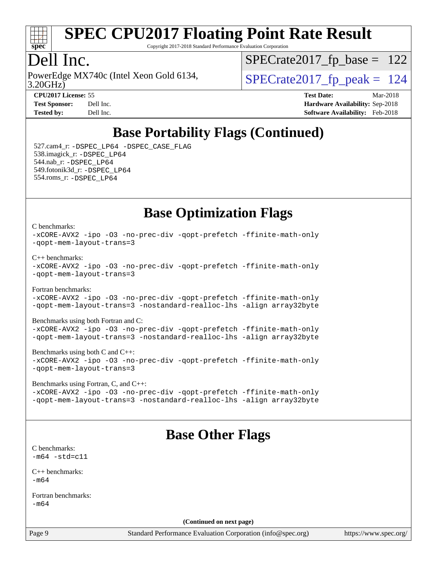

Copyright 2017-2018 Standard Performance Evaluation Corporation

### Dell Inc.

3.20GHz) PowerEdge MX740c (Intel Xeon Gold 6134,  $\vert$  [SPECrate2017\\_fp\\_peak =](http://www.spec.org/auto/cpu2017/Docs/result-fields.html#SPECrate2017fppeak) 124

 $SPECTate2017_fp\_base = 122$ 

**[Tested by:](http://www.spec.org/auto/cpu2017/Docs/result-fields.html#Testedby)** Dell Inc. **[Software Availability:](http://www.spec.org/auto/cpu2017/Docs/result-fields.html#SoftwareAvailability)** Feb-2018

**[CPU2017 License:](http://www.spec.org/auto/cpu2017/Docs/result-fields.html#CPU2017License)** 55 **[Test Date:](http://www.spec.org/auto/cpu2017/Docs/result-fields.html#TestDate)** Mar-2018 **[Test Sponsor:](http://www.spec.org/auto/cpu2017/Docs/result-fields.html#TestSponsor)** Dell Inc. **[Hardware Availability:](http://www.spec.org/auto/cpu2017/Docs/result-fields.html#HardwareAvailability)** Sep-2018

## **[Base Portability Flags \(Continued\)](http://www.spec.org/auto/cpu2017/Docs/result-fields.html#BasePortabilityFlags)**

 527.cam4\_r: [-DSPEC\\_LP64](http://www.spec.org/cpu2017/results/res2018q4/cpu2017-20181001-09014.flags.html#suite_basePORTABILITY527_cam4_r_DSPEC_LP64) [-DSPEC\\_CASE\\_FLAG](http://www.spec.org/cpu2017/results/res2018q4/cpu2017-20181001-09014.flags.html#b527.cam4_r_baseCPORTABILITY_DSPEC_CASE_FLAG) 538.imagick\_r: [-DSPEC\\_LP64](http://www.spec.org/cpu2017/results/res2018q4/cpu2017-20181001-09014.flags.html#suite_basePORTABILITY538_imagick_r_DSPEC_LP64) 544.nab\_r: [-DSPEC\\_LP64](http://www.spec.org/cpu2017/results/res2018q4/cpu2017-20181001-09014.flags.html#suite_basePORTABILITY544_nab_r_DSPEC_LP64) 549.fotonik3d\_r: [-DSPEC\\_LP64](http://www.spec.org/cpu2017/results/res2018q4/cpu2017-20181001-09014.flags.html#suite_basePORTABILITY549_fotonik3d_r_DSPEC_LP64) 554.roms\_r: [-DSPEC\\_LP64](http://www.spec.org/cpu2017/results/res2018q4/cpu2017-20181001-09014.flags.html#suite_basePORTABILITY554_roms_r_DSPEC_LP64)

#### **[Base Optimization Flags](http://www.spec.org/auto/cpu2017/Docs/result-fields.html#BaseOptimizationFlags)**

[C benchmarks](http://www.spec.org/auto/cpu2017/Docs/result-fields.html#Cbenchmarks):

[-xCORE-AVX2](http://www.spec.org/cpu2017/results/res2018q4/cpu2017-20181001-09014.flags.html#user_CCbase_f-xCORE-AVX2) [-ipo](http://www.spec.org/cpu2017/results/res2018q4/cpu2017-20181001-09014.flags.html#user_CCbase_f-ipo) [-O3](http://www.spec.org/cpu2017/results/res2018q4/cpu2017-20181001-09014.flags.html#user_CCbase_f-O3) [-no-prec-div](http://www.spec.org/cpu2017/results/res2018q4/cpu2017-20181001-09014.flags.html#user_CCbase_f-no-prec-div) [-qopt-prefetch](http://www.spec.org/cpu2017/results/res2018q4/cpu2017-20181001-09014.flags.html#user_CCbase_f-qopt-prefetch) [-ffinite-math-only](http://www.spec.org/cpu2017/results/res2018q4/cpu2017-20181001-09014.flags.html#user_CCbase_f_finite_math_only_cb91587bd2077682c4b38af759c288ed7c732db004271a9512da14a4f8007909a5f1427ecbf1a0fb78ff2a814402c6114ac565ca162485bbcae155b5e4258871) [-qopt-mem-layout-trans=3](http://www.spec.org/cpu2017/results/res2018q4/cpu2017-20181001-09014.flags.html#user_CCbase_f-qopt-mem-layout-trans_de80db37974c74b1f0e20d883f0b675c88c3b01e9d123adea9b28688d64333345fb62bc4a798493513fdb68f60282f9a726aa07f478b2f7113531aecce732043)

[C++ benchmarks:](http://www.spec.org/auto/cpu2017/Docs/result-fields.html#CXXbenchmarks)

[-xCORE-AVX2](http://www.spec.org/cpu2017/results/res2018q4/cpu2017-20181001-09014.flags.html#user_CXXbase_f-xCORE-AVX2) [-ipo](http://www.spec.org/cpu2017/results/res2018q4/cpu2017-20181001-09014.flags.html#user_CXXbase_f-ipo) [-O3](http://www.spec.org/cpu2017/results/res2018q4/cpu2017-20181001-09014.flags.html#user_CXXbase_f-O3) [-no-prec-div](http://www.spec.org/cpu2017/results/res2018q4/cpu2017-20181001-09014.flags.html#user_CXXbase_f-no-prec-div) [-qopt-prefetch](http://www.spec.org/cpu2017/results/res2018q4/cpu2017-20181001-09014.flags.html#user_CXXbase_f-qopt-prefetch) [-ffinite-math-only](http://www.spec.org/cpu2017/results/res2018q4/cpu2017-20181001-09014.flags.html#user_CXXbase_f_finite_math_only_cb91587bd2077682c4b38af759c288ed7c732db004271a9512da14a4f8007909a5f1427ecbf1a0fb78ff2a814402c6114ac565ca162485bbcae155b5e4258871) [-qopt-mem-layout-trans=3](http://www.spec.org/cpu2017/results/res2018q4/cpu2017-20181001-09014.flags.html#user_CXXbase_f-qopt-mem-layout-trans_de80db37974c74b1f0e20d883f0b675c88c3b01e9d123adea9b28688d64333345fb62bc4a798493513fdb68f60282f9a726aa07f478b2f7113531aecce732043)

[Fortran benchmarks](http://www.spec.org/auto/cpu2017/Docs/result-fields.html#Fortranbenchmarks): [-xCORE-AVX2](http://www.spec.org/cpu2017/results/res2018q4/cpu2017-20181001-09014.flags.html#user_FCbase_f-xCORE-AVX2) [-ipo](http://www.spec.org/cpu2017/results/res2018q4/cpu2017-20181001-09014.flags.html#user_FCbase_f-ipo) [-O3](http://www.spec.org/cpu2017/results/res2018q4/cpu2017-20181001-09014.flags.html#user_FCbase_f-O3) [-no-prec-div](http://www.spec.org/cpu2017/results/res2018q4/cpu2017-20181001-09014.flags.html#user_FCbase_f-no-prec-div) [-qopt-prefetch](http://www.spec.org/cpu2017/results/res2018q4/cpu2017-20181001-09014.flags.html#user_FCbase_f-qopt-prefetch) [-ffinite-math-only](http://www.spec.org/cpu2017/results/res2018q4/cpu2017-20181001-09014.flags.html#user_FCbase_f_finite_math_only_cb91587bd2077682c4b38af759c288ed7c732db004271a9512da14a4f8007909a5f1427ecbf1a0fb78ff2a814402c6114ac565ca162485bbcae155b5e4258871) [-qopt-mem-layout-trans=3](http://www.spec.org/cpu2017/results/res2018q4/cpu2017-20181001-09014.flags.html#user_FCbase_f-qopt-mem-layout-trans_de80db37974c74b1f0e20d883f0b675c88c3b01e9d123adea9b28688d64333345fb62bc4a798493513fdb68f60282f9a726aa07f478b2f7113531aecce732043) [-nostandard-realloc-lhs](http://www.spec.org/cpu2017/results/res2018q4/cpu2017-20181001-09014.flags.html#user_FCbase_f_2003_std_realloc_82b4557e90729c0f113870c07e44d33d6f5a304b4f63d4c15d2d0f1fab99f5daaed73bdb9275d9ae411527f28b936061aa8b9c8f2d63842963b95c9dd6426b8a) [-align array32byte](http://www.spec.org/cpu2017/results/res2018q4/cpu2017-20181001-09014.flags.html#user_FCbase_align_array32byte_b982fe038af199962ba9a80c053b8342c548c85b40b8e86eb3cc33dee0d7986a4af373ac2d51c3f7cf710a18d62fdce2948f201cd044323541f22fc0fffc51b6)

[Benchmarks using both Fortran and C](http://www.spec.org/auto/cpu2017/Docs/result-fields.html#BenchmarksusingbothFortranandC):

[-xCORE-AVX2](http://www.spec.org/cpu2017/results/res2018q4/cpu2017-20181001-09014.flags.html#user_CC_FCbase_f-xCORE-AVX2) [-ipo](http://www.spec.org/cpu2017/results/res2018q4/cpu2017-20181001-09014.flags.html#user_CC_FCbase_f-ipo) [-O3](http://www.spec.org/cpu2017/results/res2018q4/cpu2017-20181001-09014.flags.html#user_CC_FCbase_f-O3) [-no-prec-div](http://www.spec.org/cpu2017/results/res2018q4/cpu2017-20181001-09014.flags.html#user_CC_FCbase_f-no-prec-div) [-qopt-prefetch](http://www.spec.org/cpu2017/results/res2018q4/cpu2017-20181001-09014.flags.html#user_CC_FCbase_f-qopt-prefetch) [-ffinite-math-only](http://www.spec.org/cpu2017/results/res2018q4/cpu2017-20181001-09014.flags.html#user_CC_FCbase_f_finite_math_only_cb91587bd2077682c4b38af759c288ed7c732db004271a9512da14a4f8007909a5f1427ecbf1a0fb78ff2a814402c6114ac565ca162485bbcae155b5e4258871) [-qopt-mem-layout-trans=3](http://www.spec.org/cpu2017/results/res2018q4/cpu2017-20181001-09014.flags.html#user_CC_FCbase_f-qopt-mem-layout-trans_de80db37974c74b1f0e20d883f0b675c88c3b01e9d123adea9b28688d64333345fb62bc4a798493513fdb68f60282f9a726aa07f478b2f7113531aecce732043) [-nostandard-realloc-lhs](http://www.spec.org/cpu2017/results/res2018q4/cpu2017-20181001-09014.flags.html#user_CC_FCbase_f_2003_std_realloc_82b4557e90729c0f113870c07e44d33d6f5a304b4f63d4c15d2d0f1fab99f5daaed73bdb9275d9ae411527f28b936061aa8b9c8f2d63842963b95c9dd6426b8a) [-align array32byte](http://www.spec.org/cpu2017/results/res2018q4/cpu2017-20181001-09014.flags.html#user_CC_FCbase_align_array32byte_b982fe038af199962ba9a80c053b8342c548c85b40b8e86eb3cc33dee0d7986a4af373ac2d51c3f7cf710a18d62fdce2948f201cd044323541f22fc0fffc51b6)

[Benchmarks using both C and C++](http://www.spec.org/auto/cpu2017/Docs/result-fields.html#BenchmarksusingbothCandCXX): [-xCORE-AVX2](http://www.spec.org/cpu2017/results/res2018q4/cpu2017-20181001-09014.flags.html#user_CC_CXXbase_f-xCORE-AVX2) [-ipo](http://www.spec.org/cpu2017/results/res2018q4/cpu2017-20181001-09014.flags.html#user_CC_CXXbase_f-ipo) [-O3](http://www.spec.org/cpu2017/results/res2018q4/cpu2017-20181001-09014.flags.html#user_CC_CXXbase_f-O3) [-no-prec-div](http://www.spec.org/cpu2017/results/res2018q4/cpu2017-20181001-09014.flags.html#user_CC_CXXbase_f-no-prec-div) [-qopt-prefetch](http://www.spec.org/cpu2017/results/res2018q4/cpu2017-20181001-09014.flags.html#user_CC_CXXbase_f-qopt-prefetch) [-ffinite-math-only](http://www.spec.org/cpu2017/results/res2018q4/cpu2017-20181001-09014.flags.html#user_CC_CXXbase_f_finite_math_only_cb91587bd2077682c4b38af759c288ed7c732db004271a9512da14a4f8007909a5f1427ecbf1a0fb78ff2a814402c6114ac565ca162485bbcae155b5e4258871) [-qopt-mem-layout-trans=3](http://www.spec.org/cpu2017/results/res2018q4/cpu2017-20181001-09014.flags.html#user_CC_CXXbase_f-qopt-mem-layout-trans_de80db37974c74b1f0e20d883f0b675c88c3b01e9d123adea9b28688d64333345fb62bc4a798493513fdb68f60282f9a726aa07f478b2f7113531aecce732043)

[Benchmarks using Fortran, C, and C++:](http://www.spec.org/auto/cpu2017/Docs/result-fields.html#BenchmarksusingFortranCandCXX) [-xCORE-AVX2](http://www.spec.org/cpu2017/results/res2018q4/cpu2017-20181001-09014.flags.html#user_CC_CXX_FCbase_f-xCORE-AVX2) [-ipo](http://www.spec.org/cpu2017/results/res2018q4/cpu2017-20181001-09014.flags.html#user_CC_CXX_FCbase_f-ipo) [-O3](http://www.spec.org/cpu2017/results/res2018q4/cpu2017-20181001-09014.flags.html#user_CC_CXX_FCbase_f-O3) [-no-prec-div](http://www.spec.org/cpu2017/results/res2018q4/cpu2017-20181001-09014.flags.html#user_CC_CXX_FCbase_f-no-prec-div) [-qopt-prefetch](http://www.spec.org/cpu2017/results/res2018q4/cpu2017-20181001-09014.flags.html#user_CC_CXX_FCbase_f-qopt-prefetch) [-ffinite-math-only](http://www.spec.org/cpu2017/results/res2018q4/cpu2017-20181001-09014.flags.html#user_CC_CXX_FCbase_f_finite_math_only_cb91587bd2077682c4b38af759c288ed7c732db004271a9512da14a4f8007909a5f1427ecbf1a0fb78ff2a814402c6114ac565ca162485bbcae155b5e4258871) [-qopt-mem-layout-trans=3](http://www.spec.org/cpu2017/results/res2018q4/cpu2017-20181001-09014.flags.html#user_CC_CXX_FCbase_f-qopt-mem-layout-trans_de80db37974c74b1f0e20d883f0b675c88c3b01e9d123adea9b28688d64333345fb62bc4a798493513fdb68f60282f9a726aa07f478b2f7113531aecce732043) [-nostandard-realloc-lhs](http://www.spec.org/cpu2017/results/res2018q4/cpu2017-20181001-09014.flags.html#user_CC_CXX_FCbase_f_2003_std_realloc_82b4557e90729c0f113870c07e44d33d6f5a304b4f63d4c15d2d0f1fab99f5daaed73bdb9275d9ae411527f28b936061aa8b9c8f2d63842963b95c9dd6426b8a) [-align array32byte](http://www.spec.org/cpu2017/results/res2018q4/cpu2017-20181001-09014.flags.html#user_CC_CXX_FCbase_align_array32byte_b982fe038af199962ba9a80c053b8342c548c85b40b8e86eb3cc33dee0d7986a4af373ac2d51c3f7cf710a18d62fdce2948f201cd044323541f22fc0fffc51b6)

### **[Base Other Flags](http://www.spec.org/auto/cpu2017/Docs/result-fields.html#BaseOtherFlags)**

[C benchmarks](http://www.spec.org/auto/cpu2017/Docs/result-fields.html#Cbenchmarks):  $-m64 - std = c11$  $-m64 - std = c11$ 

[C++ benchmarks:](http://www.spec.org/auto/cpu2017/Docs/result-fields.html#CXXbenchmarks)  $-m64$ 

[Fortran benchmarks](http://www.spec.org/auto/cpu2017/Docs/result-fields.html#Fortranbenchmarks): [-m64](http://www.spec.org/cpu2017/results/res2018q4/cpu2017-20181001-09014.flags.html#user_FCbase_intel_intel64_18.0_af43caccfc8ded86e7699f2159af6efc7655f51387b94da716254467f3c01020a5059329e2569e4053f409e7c9202a7efc638f7a6d1ffb3f52dea4a3e31d82ab)

**(Continued on next page)**

Page 9 Standard Performance Evaluation Corporation [\(info@spec.org\)](mailto:info@spec.org) <https://www.spec.org/>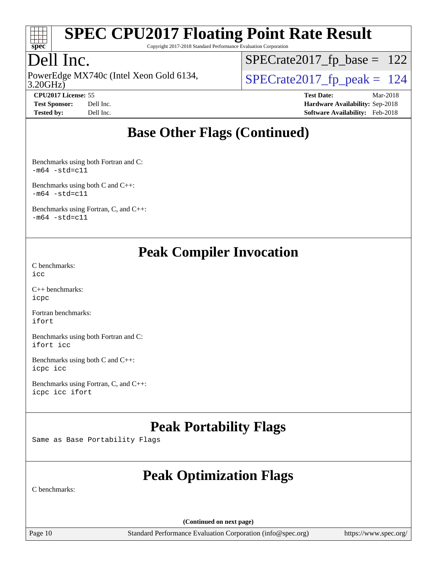

Copyright 2017-2018 Standard Performance Evaluation Corporation

### Dell Inc.

3.20GHz) PowerEdge MX740c (Intel Xeon Gold 6134,  $\vert$ [SPECrate2017\\_fp\\_peak =](http://www.spec.org/auto/cpu2017/Docs/result-fields.html#SPECrate2017fppeak) 124

[SPECrate2017\\_fp\\_base =](http://www.spec.org/auto/cpu2017/Docs/result-fields.html#SPECrate2017fpbase) 122

**[CPU2017 License:](http://www.spec.org/auto/cpu2017/Docs/result-fields.html#CPU2017License)** 55 **[Test Date:](http://www.spec.org/auto/cpu2017/Docs/result-fields.html#TestDate)** Mar-2018 **[Test Sponsor:](http://www.spec.org/auto/cpu2017/Docs/result-fields.html#TestSponsor)** Dell Inc. **[Hardware Availability:](http://www.spec.org/auto/cpu2017/Docs/result-fields.html#HardwareAvailability)** Sep-2018 **[Tested by:](http://www.spec.org/auto/cpu2017/Docs/result-fields.html#Testedby)** Dell Inc. **[Software Availability:](http://www.spec.org/auto/cpu2017/Docs/result-fields.html#SoftwareAvailability)** Feb-2018

### **[Base Other Flags \(Continued\)](http://www.spec.org/auto/cpu2017/Docs/result-fields.html#BaseOtherFlags)**

[Benchmarks using both Fortran and C](http://www.spec.org/auto/cpu2017/Docs/result-fields.html#BenchmarksusingbothFortranandC):  $-m64 - std= c11$  $-m64 - std= c11$ 

[Benchmarks using both C and C++](http://www.spec.org/auto/cpu2017/Docs/result-fields.html#BenchmarksusingbothCandCXX):  $-m64 - std = c11$  $-m64 - std = c11$ 

[Benchmarks using Fortran, C, and C++:](http://www.spec.org/auto/cpu2017/Docs/result-fields.html#BenchmarksusingFortranCandCXX)  $-m64 - std = c11$  $-m64 - std = c11$ 

#### **[Peak Compiler Invocation](http://www.spec.org/auto/cpu2017/Docs/result-fields.html#PeakCompilerInvocation)**

[C benchmarks](http://www.spec.org/auto/cpu2017/Docs/result-fields.html#Cbenchmarks): [icc](http://www.spec.org/cpu2017/results/res2018q4/cpu2017-20181001-09014.flags.html#user_CCpeak_intel_icc_18.0_66fc1ee009f7361af1fbd72ca7dcefbb700085f36577c54f309893dd4ec40d12360134090235512931783d35fd58c0460139e722d5067c5574d8eaf2b3e37e92)

[C++ benchmarks:](http://www.spec.org/auto/cpu2017/Docs/result-fields.html#CXXbenchmarks) [icpc](http://www.spec.org/cpu2017/results/res2018q4/cpu2017-20181001-09014.flags.html#user_CXXpeak_intel_icpc_18.0_c510b6838c7f56d33e37e94d029a35b4a7bccf4766a728ee175e80a419847e808290a9b78be685c44ab727ea267ec2f070ec5dc83b407c0218cded6866a35d07)

[Fortran benchmarks](http://www.spec.org/auto/cpu2017/Docs/result-fields.html#Fortranbenchmarks): [ifort](http://www.spec.org/cpu2017/results/res2018q4/cpu2017-20181001-09014.flags.html#user_FCpeak_intel_ifort_18.0_8111460550e3ca792625aed983ce982f94888b8b503583aa7ba2b8303487b4d8a21a13e7191a45c5fd58ff318f48f9492884d4413fa793fd88dd292cad7027ca)

[Benchmarks using both Fortran and C](http://www.spec.org/auto/cpu2017/Docs/result-fields.html#BenchmarksusingbothFortranandC): [ifort](http://www.spec.org/cpu2017/results/res2018q4/cpu2017-20181001-09014.flags.html#user_CC_FCpeak_intel_ifort_18.0_8111460550e3ca792625aed983ce982f94888b8b503583aa7ba2b8303487b4d8a21a13e7191a45c5fd58ff318f48f9492884d4413fa793fd88dd292cad7027ca) [icc](http://www.spec.org/cpu2017/results/res2018q4/cpu2017-20181001-09014.flags.html#user_CC_FCpeak_intel_icc_18.0_66fc1ee009f7361af1fbd72ca7dcefbb700085f36577c54f309893dd4ec40d12360134090235512931783d35fd58c0460139e722d5067c5574d8eaf2b3e37e92)

[Benchmarks using both C and C++](http://www.spec.org/auto/cpu2017/Docs/result-fields.html#BenchmarksusingbothCandCXX): [icpc](http://www.spec.org/cpu2017/results/res2018q4/cpu2017-20181001-09014.flags.html#user_CC_CXXpeak_intel_icpc_18.0_c510b6838c7f56d33e37e94d029a35b4a7bccf4766a728ee175e80a419847e808290a9b78be685c44ab727ea267ec2f070ec5dc83b407c0218cded6866a35d07) [icc](http://www.spec.org/cpu2017/results/res2018q4/cpu2017-20181001-09014.flags.html#user_CC_CXXpeak_intel_icc_18.0_66fc1ee009f7361af1fbd72ca7dcefbb700085f36577c54f309893dd4ec40d12360134090235512931783d35fd58c0460139e722d5067c5574d8eaf2b3e37e92)

[Benchmarks using Fortran, C, and C++:](http://www.spec.org/auto/cpu2017/Docs/result-fields.html#BenchmarksusingFortranCandCXX) [icpc](http://www.spec.org/cpu2017/results/res2018q4/cpu2017-20181001-09014.flags.html#user_CC_CXX_FCpeak_intel_icpc_18.0_c510b6838c7f56d33e37e94d029a35b4a7bccf4766a728ee175e80a419847e808290a9b78be685c44ab727ea267ec2f070ec5dc83b407c0218cded6866a35d07) [icc](http://www.spec.org/cpu2017/results/res2018q4/cpu2017-20181001-09014.flags.html#user_CC_CXX_FCpeak_intel_icc_18.0_66fc1ee009f7361af1fbd72ca7dcefbb700085f36577c54f309893dd4ec40d12360134090235512931783d35fd58c0460139e722d5067c5574d8eaf2b3e37e92) [ifort](http://www.spec.org/cpu2017/results/res2018q4/cpu2017-20181001-09014.flags.html#user_CC_CXX_FCpeak_intel_ifort_18.0_8111460550e3ca792625aed983ce982f94888b8b503583aa7ba2b8303487b4d8a21a13e7191a45c5fd58ff318f48f9492884d4413fa793fd88dd292cad7027ca)

### **[Peak Portability Flags](http://www.spec.org/auto/cpu2017/Docs/result-fields.html#PeakPortabilityFlags)**

Same as Base Portability Flags

## **[Peak Optimization Flags](http://www.spec.org/auto/cpu2017/Docs/result-fields.html#PeakOptimizationFlags)**

[C benchmarks](http://www.spec.org/auto/cpu2017/Docs/result-fields.html#Cbenchmarks):

**(Continued on next page)**

Page 10 Standard Performance Evaluation Corporation [\(info@spec.org\)](mailto:info@spec.org) <https://www.spec.org/>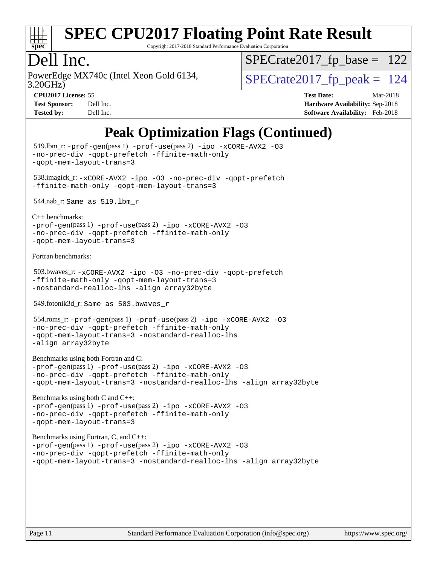

Copyright 2017-2018 Standard Performance Evaluation Corporation

## Dell Inc.

3.20GHz) PowerEdge MX740c (Intel Xeon Gold 6134,  $\vert$ [SPECrate2017\\_fp\\_peak =](http://www.spec.org/auto/cpu2017/Docs/result-fields.html#SPECrate2017fppeak) 124

 $SPECTate2017_fp\_base = 122$ 

**[CPU2017 License:](http://www.spec.org/auto/cpu2017/Docs/result-fields.html#CPU2017License)** 55 **[Test Date:](http://www.spec.org/auto/cpu2017/Docs/result-fields.html#TestDate)** Mar-2018 **[Test Sponsor:](http://www.spec.org/auto/cpu2017/Docs/result-fields.html#TestSponsor)** Dell Inc. **[Hardware Availability:](http://www.spec.org/auto/cpu2017/Docs/result-fields.html#HardwareAvailability)** Sep-2018 **[Tested by:](http://www.spec.org/auto/cpu2017/Docs/result-fields.html#Testedby)** Dell Inc. **[Software Availability:](http://www.spec.org/auto/cpu2017/Docs/result-fields.html#SoftwareAvailability)** Feb-2018

## **[Peak Optimization Flags \(Continued\)](http://www.spec.org/auto/cpu2017/Docs/result-fields.html#PeakOptimizationFlags)**

```
 519.lbm_r: -prof-gen(pass 1) -prof-use(pass 2) -ipo -xCORE-AVX2 -O3
-no-prec-div -qopt-prefetch -ffinite-math-only
-qopt-mem-layout-trans=3
 538.imagick_r: -xCORE-AVX2 -ipo -O3 -no-prec-div -qopt-prefetch
-ffinite-math-only -qopt-mem-layout-trans=3
 544.nab_r: Same as 519.lbm_r
C++ benchmarks: 
-prof-gen(pass 1) -prof-use(pass 2) -ipo -xCORE-AVX2 -O3
-no-prec-div -qopt-prefetch -ffinite-math-only
-qopt-mem-layout-trans=3
Fortran benchmarks: 
 503.bwaves_r: -xCORE-AVX2 -ipo -O3 -no-prec-div -qopt-prefetch
-ffinite-math-only -qopt-mem-layout-trans=3
-nostandard-realloc-lhs -align array32byte
 549.fotonik3d_r: Same as 503.bwaves_r
 554.roms_r: -prof-gen(pass 1) -prof-use(pass 2) -ipo -xCORE-AVX2 -O3
-no-prec-div -qopt-prefetch -ffinite-math-only
-qopt-mem-layout-trans=3 -nostandard-realloc-lhs
-align array32byte
Benchmarks using both Fortran and C: 
-prof-gen(pass 1) -prof-use(pass 2) -ipo -xCORE-AVX2 -O3
-no-prec-div -qopt-prefetch -ffinite-math-only
-qopt-mem-layout-trans=3 -nostandard-realloc-lhs -align array32byte
Benchmarks using both C and C++: 
-prof-gen(pass 1) -prof-use(pass 2) -ipo -xCORE-AVX2 -O3
-no-prec-div -qopt-prefetch -ffinite-math-only
-qopt-mem-layout-trans=3
Benchmarks using Fortran, C, and C++: 
-prof-gen(pass 1) -prof-use(pass 2) -ipo -xCORE-AVX2 -O3
-no-prec-div -qopt-prefetch -ffinite-math-only
-qopt-mem-layout-trans=3 -nostandard-realloc-lhs -align array32byte
```